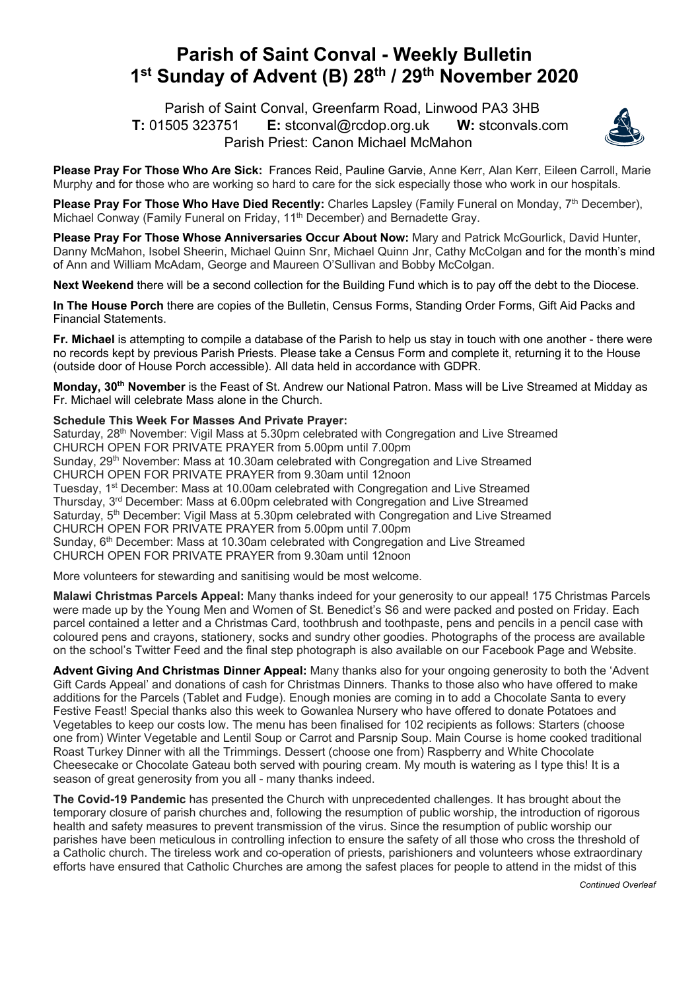## **Parish of Saint Conval - Weekly Bulletin 1st Sunday of Advent (B) 28th / 29th November 2020**

 Parish of Saint Conval, Greenfarm Road, Linwood PA3 3HB **T:** 01505 323751 **E:** stconval@rcdop.org.uk **W:** stconvals.com Parish Priest: Canon Michael McMahon



**Please Pray For Those Who Are Sick:** Frances Reid, Pauline Garvie, Anne Kerr, Alan Kerr, Eileen Carroll, Marie Murphy and for those who are working so hard to care for the sick especially those who work in our hospitals.

**Please Pray For Those Who Have Died Recently:** Charles Lapsley (Family Funeral on Monday, 7<sup>th</sup> December), Michael Conway (Family Funeral on Friday, 11<sup>th</sup> December) and Bernadette Gray.

**Please Pray For Those Whose Anniversaries Occur About Now:** Mary and Patrick McGourlick, David Hunter, Danny McMahon, Isobel Sheerin, Michael Quinn Snr, Michael Quinn Jnr, Cathy McColgan and for the month's mind of Ann and William McAdam, George and Maureen O'Sullivan and Bobby McColgan.

**Next Weekend** there will be a second collection for the Building Fund which is to pay off the debt to the Diocese.

**In The House Porch** there are copies of the Bulletin, Census Forms, Standing Order Forms, Gift Aid Packs and Financial Statements.

**Fr. Michael** is attempting to compile a database of the Parish to help us stay in touch with one another - there were no records kept by previous Parish Priests. Please take a Census Form and complete it, returning it to the House (outside door of House Porch accessible). All data held in accordance with GDPR.

**Monday, 30th November** is the Feast of St. Andrew our National Patron. Mass will be Live Streamed at Midday as Fr. Michael will celebrate Mass alone in the Church.

## **Schedule This Week For Masses And Private Prayer:**

Saturday, 28<sup>th</sup> November: Vigil Mass at 5.30pm celebrated with Congregation and Live Streamed CHURCH OPEN FOR PRIVATE PRAYER from 5.00pm until 7.00pm Sunday, 29<sup>th</sup> November: Mass at 10.30am celebrated with Congregation and Live Streamed CHURCH OPEN FOR PRIVATE PRAYER from 9.30am until 12noon Tuesday, 1<sup>st</sup> December: Mass at 10.00am celebrated with Congregation and Live Streamed

Thursday, 3<sup>rd</sup> December: Mass at 6.00pm celebrated with Congregation and Live Streamed Saturday, 5<sup>th</sup> December: Vigil Mass at 5.30pm celebrated with Congregation and Live Streamed CHURCH OPEN FOR PRIVATE PRAYER from 5.00pm until 7.00pm Sunday, 6<sup>th</sup> December: Mass at 10.30am celebrated with Congregation and Live Streamed CHURCH OPEN FOR PRIVATE PRAYER from 9.30am until 12noon

More volunteers for stewarding and sanitising would be most welcome.

**Malawi Christmas Parcels Appeal:** Many thanks indeed for your generosity to our appeal! 175 Christmas Parcels were made up by the Young Men and Women of St. Benedict's S6 and were packed and posted on Friday. Each parcel contained a letter and a Christmas Card, toothbrush and toothpaste, pens and pencils in a pencil case with coloured pens and crayons, stationery, socks and sundry other goodies. Photographs of the process are available on the school's Twitter Feed and the final step photograph is also available on our Facebook Page and Website.

**Advent Giving And Christmas Dinner Appeal:** Many thanks also for your ongoing generosity to both the 'Advent Gift Cards Appeal' and donations of cash for Christmas Dinners. Thanks to those also who have offered to make additions for the Parcels (Tablet and Fudge). Enough monies are coming in to add a Chocolate Santa to every Festive Feast! Special thanks also this week to Gowanlea Nursery who have offered to donate Potatoes and Vegetables to keep our costs low. The menu has been finalised for 102 recipients as follows: Starters (choose one from) Winter Vegetable and Lentil Soup or Carrot and Parsnip Soup. Main Course is home cooked traditional Roast Turkey Dinner with all the Trimmings. Dessert (choose one from) Raspberry and White Chocolate Cheesecake or Chocolate Gateau both served with pouring cream. My mouth is watering as I type this! It is a season of great generosity from you all - many thanks indeed.

**The Covid-19 Pandemic** has presented the Church with unprecedented challenges. It has brought about the temporary closure of parish churches and, following the resumption of public worship, the introduction of rigorous health and safety measures to prevent transmission of the virus. Since the resumption of public worship our parishes have been meticulous in controlling infection to ensure the safety of all those who cross the threshold of a Catholic church. The tireless work and co-operation of priests, parishioners and volunteers whose extraordinary efforts have ensured that Catholic Churches are among the safest places for people to attend in the midst of this